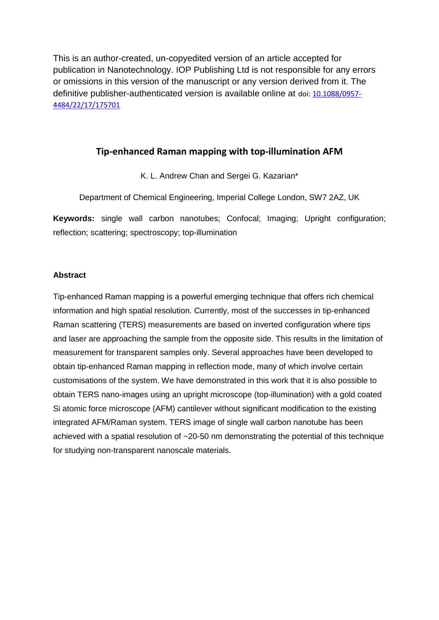This is an author-created, un-copyedited version of an article accepted for publication in Nanotechnology. IOP Publishing Ltd is not responsible for any errors or omissions in this version of the manuscript or any version derived from it. The definitive publisher-authenticated version is available online at doi[: 10.1088/0957-](http://dx.doi.org/10.1088/0957-4484/22/17/175701) [4484/22/17/175701](http://dx.doi.org/10.1088/0957-4484/22/17/175701)

# **Tip-enhanced Raman mapping with top-illumination AFM**

K. L. Andrew Chan and Sergei G. Kazarian\*

Department of Chemical Engineering, Imperial College London, SW7 2AZ, UK

**Keywords:** single wall carbon nanotubes; Confocal; Imaging; Upright configuration; reflection; scattering; spectroscopy; top-illumination

## **Abstract**

Tip-enhanced Raman mapping is a powerful emerging technique that offers rich chemical information and high spatial resolution. Currently, most of the successes in tip-enhanced Raman scattering (TERS) measurements are based on inverted configuration where tips and laser are approaching the sample from the opposite side. This results in the limitation of measurement for transparent samples only. Several approaches have been developed to obtain tip-enhanced Raman mapping in reflection mode, many of which involve certain customisations of the system. We have demonstrated in this work that it is also possible to obtain TERS nano-images using an upright microscope (top-illumination) with a gold coated Si atomic force microscope (AFM) cantilever without significant modification to the existing integrated AFM/Raman system. TERS image of single wall carbon nanotube has been achieved with a spatial resolution of ~20-50 nm demonstrating the potential of this technique for studying non-transparent nanoscale materials.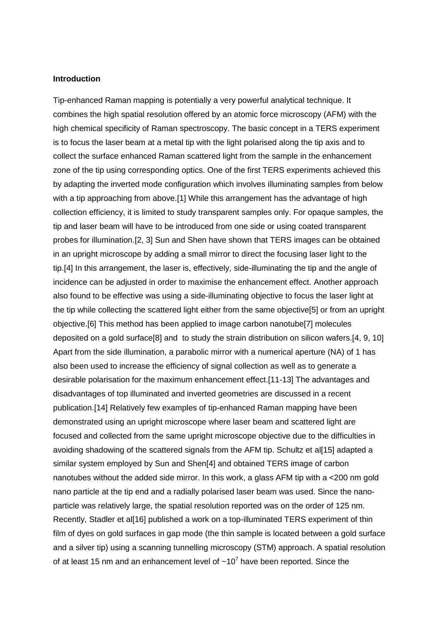### **Introduction**

Tip-enhanced Raman mapping is potentially a very powerful analytical technique. It combines the high spatial resolution offered by an atomic force microscopy (AFM) with the high chemical specificity of Raman spectroscopy. The basic concept in a TERS experiment is to focus the laser beam at a metal tip with the light polarised along the tip axis and to collect the surface enhanced Raman scattered light from the sample in the enhancement zone of the tip using corresponding optics. One of the first TERS experiments achieved this by adapting the inverted mode configuration which involves illuminating samples from below with a tip approaching from above.[1] While this arrangement has the advantage of high collection efficiency, it is limited to study transparent samples only. For opaque samples, the tip and laser beam will have to be introduced from one side or using coated transparent probes for illumination.[2, 3] Sun and Shen have shown that TERS images can be obtained in an upright microscope by adding a small mirror to direct the focusing laser light to the tip.[4] In this arrangement, the laser is, effectively, side-illuminating the tip and the angle of incidence can be adjusted in order to maximise the enhancement effect. Another approach also found to be effective was using a side-illuminating objective to focus the laser light at the tip while collecting the scattered light either from the same objective[5] or from an upright objective.[6] This method has been applied to image carbon nanotube[7] molecules deposited on a gold surface[8] and to study the strain distribution on silicon wafers.[4, 9, 10] Apart from the side illumination, a parabolic mirror with a numerical aperture (NA) of 1 has also been used to increase the efficiency of signal collection as well as to generate a desirable polarisation for the maximum enhancement effect.[11-13] The advantages and disadvantages of top illuminated and inverted geometries are discussed in a recent publication.[14] Relatively few examples of tip-enhanced Raman mapping have been demonstrated using an upright microscope where laser beam and scattered light are focused and collected from the same upright microscope objective due to the difficulties in avoiding shadowing of the scattered signals from the AFM tip. Schultz et al[15] adapted a similar system employed by Sun and Shen[4] and obtained TERS image of carbon nanotubes without the added side mirror. In this work, a glass AFM tip with a <200 nm gold nano particle at the tip end and a radially polarised laser beam was used. Since the nanoparticle was relatively large, the spatial resolution reported was on the order of 125 nm. Recently, Stadler et al[16] published a work on a top-illuminated TERS experiment of thin film of dyes on gold surfaces in gap mode (the thin sample is located between a gold surface and a silver tip) using a scanning tunnelling microscopy (STM) approach. A spatial resolution of at least 15 nm and an enhancement level of  $\sim 10^7$  have been reported. Since the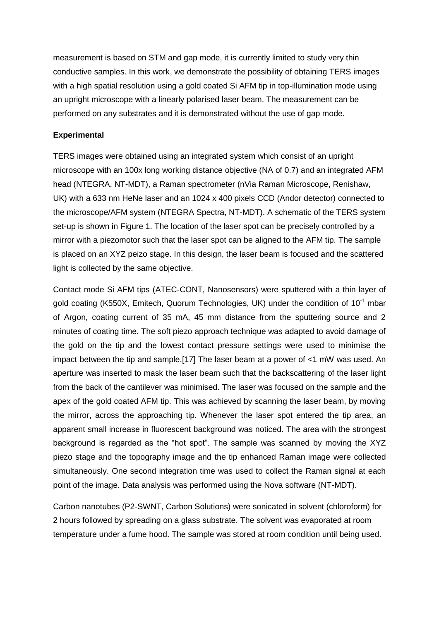measurement is based on STM and gap mode, it is currently limited to study very thin conductive samples. In this work, we demonstrate the possibility of obtaining TERS images with a high spatial resolution using a gold coated Si AFM tip in top-illumination mode using an upright microscope with a linearly polarised laser beam. The measurement can be performed on any substrates and it is demonstrated without the use of gap mode.

# **Experimental**

TERS images were obtained using an integrated system which consist of an upright microscope with an 100x long working distance objective (NA of 0.7) and an integrated AFM head (NTEGRA, NT-MDT), a Raman spectrometer (nVia Raman Microscope, Renishaw, UK) with a 633 nm HeNe laser and an 1024 x 400 pixels CCD (Andor detector) connected to the microscope/AFM system (NTEGRA Spectra, NT-MDT). A schematic of the TERS system set-up is shown in Figure 1. The location of the laser spot can be precisely controlled by a mirror with a piezomotor such that the laser spot can be aligned to the AFM tip. The sample is placed on an XYZ peizo stage. In this design, the laser beam is focused and the scattered light is collected by the same objective.

Contact mode Si AFM tips (ATEC-CONT, Nanosensors) were sputtered with a thin layer of gold coating (K550X, Emitech, Quorum Technologies, UK) under the condition of  $10^{-1}$  mbar of Argon, coating current of 35 mA, 45 mm distance from the sputtering source and 2 minutes of coating time. The soft piezo approach technique was adapted to avoid damage of the gold on the tip and the lowest contact pressure settings were used to minimise the impact between the tip and sample.[17] The laser beam at a power of <1 mW was used. An aperture was inserted to mask the laser beam such that the backscattering of the laser light from the back of the cantilever was minimised. The laser was focused on the sample and the apex of the gold coated AFM tip. This was achieved by scanning the laser beam, by moving the mirror, across the approaching tip. Whenever the laser spot entered the tip area, an apparent small increase in fluorescent background was noticed. The area with the strongest background is regarded as the "hot spot". The sample was scanned by moving the XYZ piezo stage and the topography image and the tip enhanced Raman image were collected simultaneously. One second integration time was used to collect the Raman signal at each point of the image. Data analysis was performed using the Nova software (NT-MDT).

Carbon nanotubes (P2-SWNT, Carbon Solutions) were sonicated in solvent (chloroform) for 2 hours followed by spreading on a glass substrate. The solvent was evaporated at room temperature under a fume hood. The sample was stored at room condition until being used.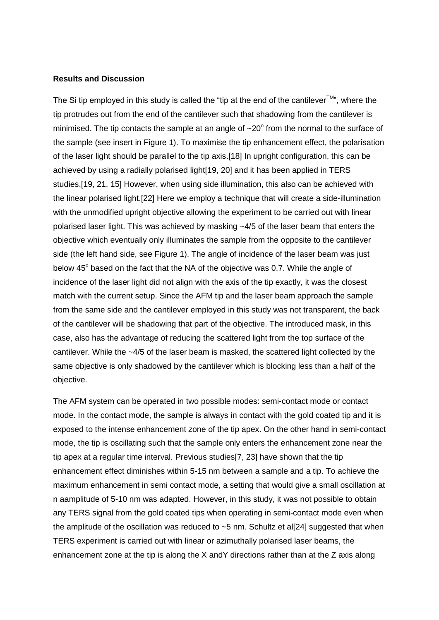#### **Results and Discussion**

The Si tip employed in this study is called the "tip at the end of the cantilever<sup>TM</sup>", where the tip protrudes out from the end of the cantilever such that shadowing from the cantilever is minimised. The tip contacts the sample at an angle of  $\sim$ 20 $^{\circ}$  from the normal to the surface of the sample (see insert in Figure 1). To maximise the tip enhancement effect, the polarisation of the laser light should be parallel to the tip axis.[18] In upright configuration, this can be achieved by using a radially polarised light[19, 20] and it has been applied in TERS studies.[19, 21, 15] However, when using side illumination, this also can be achieved with the linear polarised light.[22] Here we employ a technique that will create a side-illumination with the unmodified upright objective allowing the experiment to be carried out with linear polarised laser light. This was achieved by masking  $-4/5$  of the laser beam that enters the objective which eventually only illuminates the sample from the opposite to the cantilever side (the left hand side, see Figure 1). The angle of incidence of the laser beam was just below 45° based on the fact that the NA of the objective was 0.7. While the angle of incidence of the laser light did not align with the axis of the tip exactly, it was the closest match with the current setup. Since the AFM tip and the laser beam approach the sample from the same side and the cantilever employed in this study was not transparent, the back of the cantilever will be shadowing that part of the objective. The introduced mask, in this case, also has the advantage of reducing the scattered light from the top surface of the cantilever. While the ~4/5 of the laser beam is masked, the scattered light collected by the same objective is only shadowed by the cantilever which is blocking less than a half of the objective.

The AFM system can be operated in two possible modes: semi-contact mode or contact mode. In the contact mode, the sample is always in contact with the gold coated tip and it is exposed to the intense enhancement zone of the tip apex. On the other hand in semi-contact mode, the tip is oscillating such that the sample only enters the enhancement zone near the tip apex at a regular time interval. Previous studies[7, 23] have shown that the tip enhancement effect diminishes within 5-15 nm between a sample and a tip. To achieve the maximum enhancement in semi contact mode, a setting that would give a small oscillation at n aamplitude of 5-10 nm was adapted. However, in this study, it was not possible to obtain any TERS signal from the gold coated tips when operating in semi-contact mode even when the amplitude of the oscillation was reduced to  $\sim$ 5 nm. Schultz et al[24] suggested that when TERS experiment is carried out with linear or azimuthally polarised laser beams, the enhancement zone at the tip is along the X andY directions rather than at the Z axis along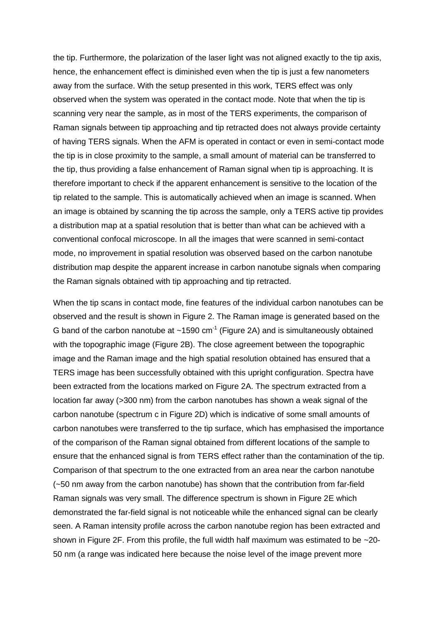the tip. Furthermore, the polarization of the laser light was not aligned exactly to the tip axis, hence, the enhancement effect is diminished even when the tip is just a few nanometers away from the surface. With the setup presented in this work, TERS effect was only observed when the system was operated in the contact mode. Note that when the tip is scanning very near the sample, as in most of the TERS experiments, the comparison of Raman signals between tip approaching and tip retracted does not always provide certainty of having TERS signals. When the AFM is operated in contact or even in semi-contact mode the tip is in close proximity to the sample, a small amount of material can be transferred to the tip, thus providing a false enhancement of Raman signal when tip is approaching. It is therefore important to check if the apparent enhancement is sensitive to the location of the tip related to the sample. This is automatically achieved when an image is scanned. When an image is obtained by scanning the tip across the sample, only a TERS active tip provides a distribution map at a spatial resolution that is better than what can be achieved with a conventional confocal microscope. In all the images that were scanned in semi-contact mode, no improvement in spatial resolution was observed based on the carbon nanotube distribution map despite the apparent increase in carbon nanotube signals when comparing the Raman signals obtained with tip approaching and tip retracted.

When the tip scans in contact mode, fine features of the individual carbon nanotubes can be observed and the result is shown in Figure 2. The Raman image is generated based on the G band of the carbon nanotube at  $\sim$ 1590 cm<sup>-1</sup> (Figure 2A) and is simultaneously obtained with the topographic image (Figure 2B). The close agreement between the topographic image and the Raman image and the high spatial resolution obtained has ensured that a TERS image has been successfully obtained with this upright configuration. Spectra have been extracted from the locations marked on Figure 2A. The spectrum extracted from a location far away (>300 nm) from the carbon nanotubes has shown a weak signal of the carbon nanotube (spectrum c in Figure 2D) which is indicative of some small amounts of carbon nanotubes were transferred to the tip surface, which has emphasised the importance of the comparison of the Raman signal obtained from different locations of the sample to ensure that the enhanced signal is from TERS effect rather than the contamination of the tip. Comparison of that spectrum to the one extracted from an area near the carbon nanotube (~50 nm away from the carbon nanotube) has shown that the contribution from far-field Raman signals was very small. The difference spectrum is shown in Figure 2E which demonstrated the far-field signal is not noticeable while the enhanced signal can be clearly seen. A Raman intensity profile across the carbon nanotube region has been extracted and shown in Figure 2F. From this profile, the full width half maximum was estimated to be ~20- 50 nm (a range was indicated here because the noise level of the image prevent more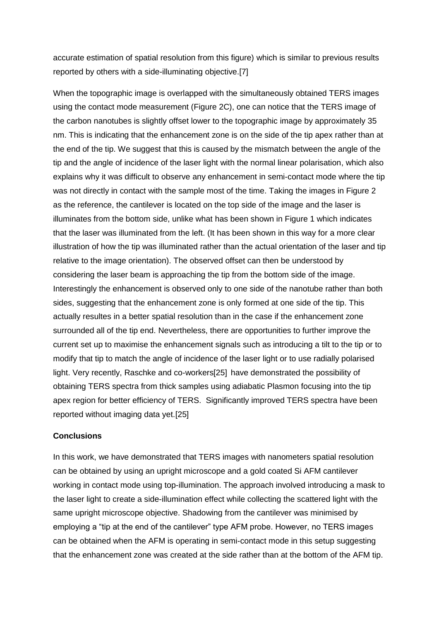accurate estimation of spatial resolution from this figure) which is similar to previous results reported by others with a side-illuminating objective.[7]

When the topographic image is overlapped with the simultaneously obtained TERS images using the contact mode measurement (Figure 2C), one can notice that the TERS image of the carbon nanotubes is slightly offset lower to the topographic image by approximately 35 nm. This is indicating that the enhancement zone is on the side of the tip apex rather than at the end of the tip. We suggest that this is caused by the mismatch between the angle of the tip and the angle of incidence of the laser light with the normal linear polarisation, which also explains why it was difficult to observe any enhancement in semi-contact mode where the tip was not directly in contact with the sample most of the time. Taking the images in Figure 2 as the reference, the cantilever is located on the top side of the image and the laser is illuminates from the bottom side, unlike what has been shown in Figure 1 which indicates that the laser was illuminated from the left. (It has been shown in this way for a more clear illustration of how the tip was illuminated rather than the actual orientation of the laser and tip relative to the image orientation). The observed offset can then be understood by considering the laser beam is approaching the tip from the bottom side of the image. Interestingly the enhancement is observed only to one side of the nanotube rather than both sides, suggesting that the enhancement zone is only formed at one side of the tip. This actually resultes in a better spatial resolution than in the case if the enhancement zone surrounded all of the tip end. Nevertheless, there are opportunities to further improve the current set up to maximise the enhancement signals such as introducing a tilt to the tip or to modify that tip to match the angle of incidence of the laser light or to use radially polarised light. Very recently, Raschke and co-workers[25] have demonstrated the possibility of obtaining TERS spectra from thick samples using adiabatic Plasmon focusing into the tip apex region for better efficiency of TERS. Significantly improved TERS spectra have been reported without imaging data yet.[25]

### **Conclusions**

In this work, we have demonstrated that TERS images with nanometers spatial resolution can be obtained by using an upright microscope and a gold coated Si AFM cantilever working in contact mode using top-illumination. The approach involved introducing a mask to the laser light to create a side-illumination effect while collecting the scattered light with the same upright microscope objective. Shadowing from the cantilever was minimised by employing a "tip at the end of the cantilever" type AFM probe. However, no TERS images can be obtained when the AFM is operating in semi-contact mode in this setup suggesting that the enhancement zone was created at the side rather than at the bottom of the AFM tip.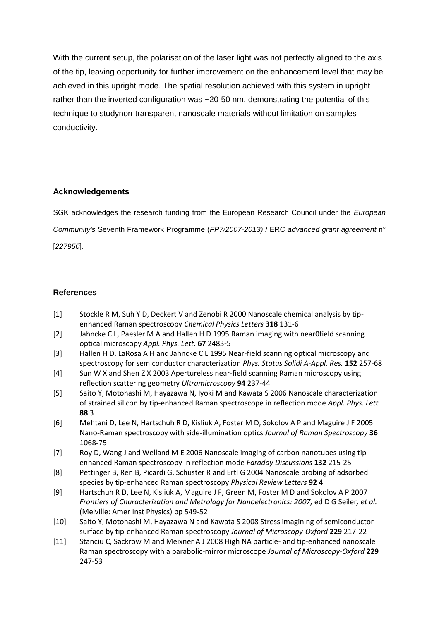With the current setup, the polarisation of the laser light was not perfectly aligned to the axis of the tip, leaving opportunity for further improvement on the enhancement level that may be achieved in this upright mode. The spatial resolution achieved with this system in upright rather than the inverted configuration was ~20-50 nm, demonstrating the potential of this technique to studynon-transparent nanoscale materials without limitation on samples conductivity.

# **Acknowledgements**

SGK acknowledges the research funding from the European Research Council under the *European Community's* Seventh Framework Programme (*FP7/2007-2013)* / ERC *advanced grant agreement* n° [*227950*].

# **References**

- [1] Stockle R M, Suh Y D, Deckert V and Zenobi R 2000 Nanoscale chemical analysis by tipenhanced Raman spectroscopy *Chemical Physics Letters* **318** 131-6
- [2] Jahncke C L, Paesler M A and Hallen H D 1995 Raman imaging with near0field scanning optical microscopy *Appl. Phys. Lett.* **67** 2483-5
- [3] Hallen H D, LaRosa A H and Jahncke C L 1995 Near-field scanning optical microscopy and spectroscopy for semiconductor characterization *Phys. Status Solidi A-Appl. Res.* **152** 257-68
- [4] Sun W X and Shen Z X 2003 Apertureless near-field scanning Raman microscopy using reflection scattering geometry *Ultramicroscopy* **94** 237-44
- [5] Saito Y, Motohashi M, Hayazawa N, Iyoki M and Kawata S 2006 Nanoscale characterization of strained silicon by tip-enhanced Raman spectroscope in reflection mode *Appl. Phys. Lett.* **88** 3
- [6] Mehtani D, Lee N, Hartschuh R D, Kisliuk A, Foster M D, Sokolov A P and Maguire J F 2005 Nano-Raman spectroscopy with side-illumination optics *Journal of Raman Spectroscopy* **36** 1068-75
- [7] Roy D, Wang J and Welland M E 2006 Nanoscale imaging of carbon nanotubes using tip enhanced Raman spectroscopy in reflection mode *Faraday Discussions* **132** 215-25
- [8] Pettinger B, Ren B, Picardi G, Schuster R and Ertl G 2004 Nanoscale probing of adsorbed species by tip-enhanced Raman spectroscopy *Physical Review Letters* **92** 4
- [9] Hartschuh R D, Lee N, Kisliuk A, Maguire J F, Green M, Foster M D and Sokolov A P 2007 *Frontiers of Characterization and Metrology for Nanoelectronics: 2007,* ed D G Seiler*, et al.* (Melville: Amer Inst Physics) pp 549-52
- [10] Saito Y, Motohashi M, Hayazawa N and Kawata S 2008 Stress imagining of semiconductor surface by tip-enhanced Raman spectroscopy *Journal of Microscopy-Oxford* **229** 217-22
- [11] Stanciu C, Sackrow M and Meixner A J 2008 High NA particle- and tip-enhanced nanoscale Raman spectroscopy with a parabolic-mirror microscope *Journal of Microscopy-Oxford* **229** 247-53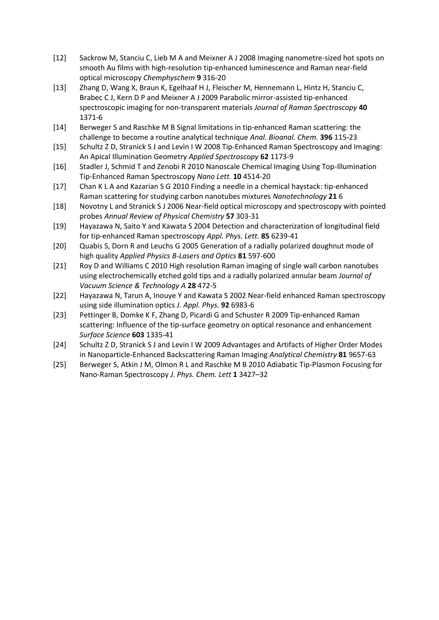- [12] Sackrow M, Stanciu C, Lieb M A and Meixner A J 2008 Imaging nanometre-sized hot spots on smooth Au films with high-resolution tip-enhanced luminescence and Raman near-field optical microscopy *Chemphyschem* **9** 316-20
- [13] Zhang D, Wang X, Braun K, Egelhaaf H J, Fleischer M, Hennemann L, Hintz H, Stanciu C, Brabec C J, Kern D P and Meixner A J 2009 Parabolic mirror-assisted tip-enhanced spectroscopic imaging for non-transparent materials *Journal of Raman Spectroscopy* **40** 1371-6
- [14] Berweger S and Raschke M B Signal limitations in tip-enhanced Raman scattering: the challenge to become a routine analytical technique *Anal. Bioanal. Chem.* **396** 115-23
- [15] Schultz Z D, Stranick S J and Levin I W 2008 Tip-Enhanced Raman Spectroscopy and Imaging: An Apical Illumination Geometry *Applied Spectroscopy* **62** 1173-9
- [16] Stadler J, Schmid T and Zenobi R 2010 Nanoscale Chemical Imaging Using Top-Illumination Tip-Enhanced Raman Spectroscopy *Nano Lett.* **10** 4514-20
- [17] Chan K L A and Kazarian S G 2010 Finding a needle in a chemical haystack: tip-enhanced Raman scattering for studying carbon nanotubes mixtures *Nanotechnology* **21** 6
- [18] Novotny L and Stranick S J 2006 Near-field optical microscopy and spectroscopy with pointed probes *Annual Review of Physical Chemistry* **57** 303-31
- [19] Hayazawa N, Saito Y and Kawata S 2004 Detection and characterization of longitudinal field for tip-enhanced Raman spectroscopy *Appl. Phys. Lett.* **85** 6239-41
- [20] Quabis S, Dorn R and Leuchs G 2005 Generation of a radially polarized doughnut mode of high quality *Applied Physics B-Lasers and Optics* **81** 597-600
- [21] Roy D and Williams C 2010 High resolution Raman imaging of single wall carbon nanotubes using electrochemically etched gold tips and a radially polarized annular beam *Journal of Vacuum Science & Technology A* **28** 472-5
- [22] Hayazawa N, Tarun A, Inouye Y and Kawata S 2002 Near-field enhanced Raman spectroscopy using side illumination optics *J. Appl. Phys.* **92** 6983-6
- [23] Pettinger B, Domke K F, Zhang D, Picardi G and Schuster R 2009 Tip-enhanced Raman scattering: Influence of the tip-surface geometry on optical resonance and enhancement *Surface Science* **603** 1335-41
- [24] Schultz Z D, Stranick S J and Levin I W 2009 Advantages and Artifacts of Higher Order Modes in Nanoparticle-Enhanced Backscattering Raman Imaging *Analytical Chemistry* **81** 9657-63
- [25] Berweger S, Atkin J M, Olmon R L and Raschke M B 2010 Adiabatic Tip-Plasmon Focusing for Nano-Raman Spectroscopy *J. Phys. Chem. Lett* **1** 3427–32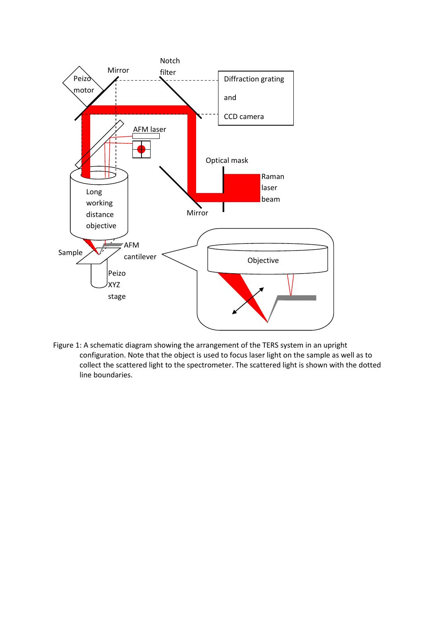

Figure 1: A schematic diagram showing the arrangement of the TERS system in an upright configuration. Note that the object is used to focus laser light on the sample as well as to collect the scattered light to the spectrometer. The scattered light is shown with the dotted line boundaries.